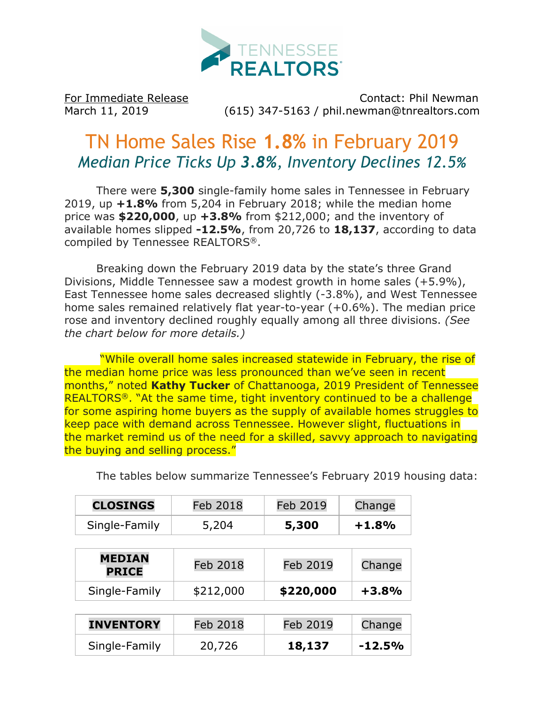

For Immediate Release Contact: Phil Newman March 11, 2019 (615) 347-5163 / phil.newman@tnrealtors.com

## TN Home Sales Rise **1.8%** in February 2019 *Median Price Ticks Up 3.8%, Inventory Declines 12.5%*

There were **5,300** single-family home sales in Tennessee in February 2019, up **+1.8%** from 5,204 in February 2018; while the median home price was **\$220,000**, up **+3.8%** from \$212,000; and the inventory of available homes slipped **-12.5%**, from 20,726 to **18,137**, according to data compiled by Tennessee REALTORS®.

Breaking down the February 2019 data by the state's three Grand Divisions, Middle Tennessee saw a modest growth in home sales (+5.9%), East Tennessee home sales decreased slightly (-3.8%), and West Tennessee home sales remained relatively flat year-to-year (+0.6%). The median price rose and inventory declined roughly equally among all three divisions. *(See the chart below for more details.)*

"While overall home sales increased statewide in February, the rise of the median home price was less pronounced than we've seen in recent months," noted **Kathy Tucker** of Chattanooga, 2019 President of Tennessee REALTORS<sup>®</sup>. "At the same time, tight inventory continued to be a challenge for some aspiring home buyers as the supply of available homes struggles to keep pace with demand across Tennessee. However slight, fluctuations in the market remind us of the need for a skilled, savvy approach to navigating the buying and selling process."

| <b>CLOSINGS</b> | Feb 2018 | Feb 2019 | Change  |  |
|-----------------|----------|----------|---------|--|
| Single-Family   | 5.204    | 5,300    | $+1.8%$ |  |

The tables below summarize Tennessee's February 2019 housing data:

| <b>MEDIAN</b><br><b>PRICE</b> | Feb 2018  | Feb 2019  | Change  |  |
|-------------------------------|-----------|-----------|---------|--|
| Single-Family                 | \$212,000 | \$220,000 | $+3.8%$ |  |

| <b>INVENTORY</b> | Feb 2018 | Feb 2019 | Change    |  |
|------------------|----------|----------|-----------|--|
| Single-Family    | 20,726   | 18,137   | $-12.5\%$ |  |